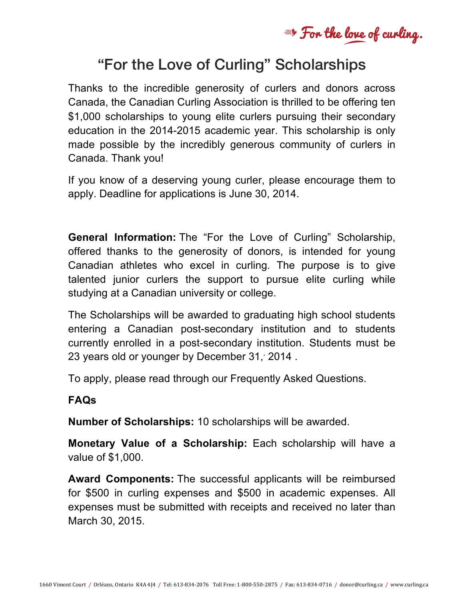= For the love of curling.

# "For the Love of Curling" Scholarships

Thanks to the incredible generosity of curlers and donors across Canada, the Canadian Curling Association is thrilled to be offering ten \$1,000 scholarships to young elite curlers pursuing their secondary education in the 2014-2015 academic year. This scholarship is only made possible by the incredibly generous community of curlers in Canada. Thank you!

If you know of a deserving young curler, please encourage them to apply. Deadline for applications is June 30, 2014.

**General Information:** The "For the Love of Curling" Scholarship, offered thanks to the generosity of donors, is intended for young Canadian athletes who excel in curling. The purpose is to give talented junior curlers the support to pursue elite curling while studying at a Canadian university or college.

The Scholarships will be awarded to graduating high school students entering a Canadian post-secondary institution and to students currently enrolled in a post-secondary institution. Students must be 23 years old or younger by December 31, 2014.

To apply, please read through our Frequently Asked Questions.

#### **FAQs**

**Number of Scholarships:** 10 scholarships will be awarded.

**Monetary Value of a Scholarship:** Each scholarship will have a value of \$1,000.

**Award Components:** The successful applicants will be reimbursed for \$500 in curling expenses and \$500 in academic expenses. All expenses must be submitted with receipts and received no later than March 30, 2015.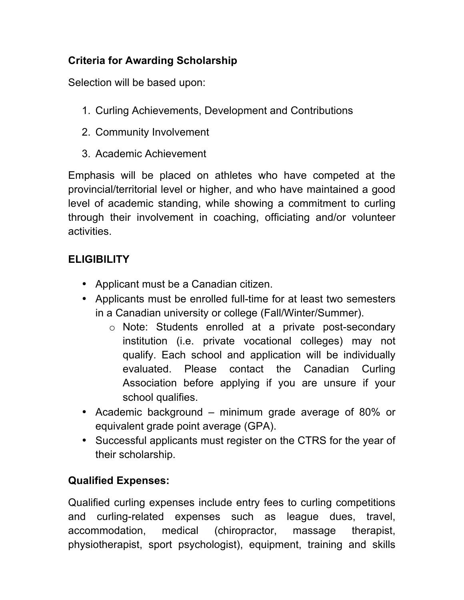## **Criteria for Awarding Scholarship**

Selection will be based upon:

- 1. Curling Achievements, Development and Contributions
- 2. Community Involvement
- 3. Academic Achievement

Emphasis will be placed on athletes who have competed at the provincial/territorial level or higher, and who have maintained a good level of academic standing, while showing a commitment to curling through their involvement in coaching, officiating and/or volunteer activities.

# **ELIGIBILITY**

- Applicant must be a Canadian citizen.
- Applicants must be enrolled full-time for at least two semesters in a Canadian university or college (Fall/Winter/Summer).
	- o Note: Students enrolled at a private post-secondary institution (i.e. private vocational colleges) may not qualify. Each school and application will be individually evaluated. Please contact the Canadian Curling Association before applying if you are unsure if your school qualifies.
- Academic background minimum grade average of 80% or equivalent grade point average (GPA).
- Successful applicants must register on the CTRS for the year of their scholarship.

# **Qualified Expenses:**

Qualified curling expenses include entry fees to curling competitions and curling-related expenses such as league dues, travel, accommodation, medical (chiropractor, massage therapist, physiotherapist, sport psychologist), equipment, training and skills